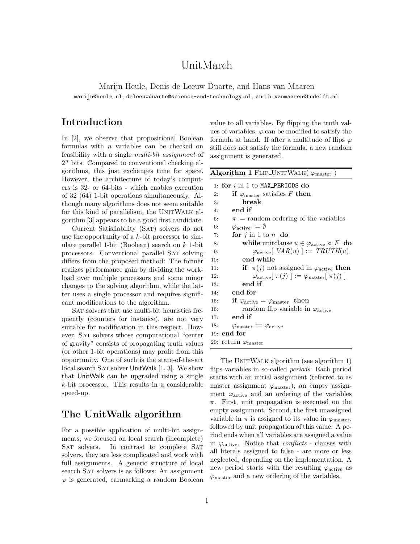# UnitMarch

Marijn Heule, Denis de Leeuw Duarte, and Hans van Maaren marijn@heule.nl, deleeuwduarte@science-and-technology.nl, and h.vanmaaren@tudelft.nl

# Introduction

In [2], we observe that propositional Boolean formulas with n variables can be checked on feasibility with a single multi-bit assignment of  $2<sup>n</sup>$  bits. Compared to conventional checking algorithms, this just exchanges time for space. However, the architecture of today's computers is 32- or 64-bits - which enables execution of 32 (64) 1-bit operations simultaneously. Although many algorithms does not seem suitable for this kind of parallelism, the UNITWALK algorithm [3] appears to be a good first candidate.

Current Satisfiability (Sat) solvers do not use the opportunity of a  $k$ -bit processor to simulate parallel 1-bit (Boolean) search on  $k$  1-bit processors. Conventional parallel Sat solving differs from the proposed method: The former realizes performance gain by dividing the workload over multiple processors and some minor changes to the solving algorithm, while the latter uses a single processor and requires significant modifications to the algorithm.

SAT solvers that use multi-bit heuristics frequently (counters for instance), are not very suitable for modification in this respect. However, Sat solvers whose computational "center of gravity" consists of propagating truth values (or other 1-bit operations) may profit from this opportunity. One of such is the state-of-the-art local search SAT solver UnitWalk [1, 3]. We show that UnitWalk can be upgraded using a single k-bit processor. This results in a considerable speed-up.

# The UnitWalk algorithm

For a possible application of multi-bit assignments, we focused on local search (incomplete) SAT solvers. In contrast to complete SAT solvers, they are less complicated and work with full assignments. A generic structure of local search SAT solvers is as follows: An assignment  $\varphi$  is generated, earmarking a random Boolean

value to all variables. By flipping the truth values of variables,  $\varphi$  can be modified to satisfy the formula at hand. If after a multitude of flips  $\varphi$ still does not satisfy the formula, a new random assignment is generated.

| Algorithm 1 FLIP_UNITWALK( $\varphi_{\text{master}}$ ) |                                                                      |
|--------------------------------------------------------|----------------------------------------------------------------------|
|                                                        | 1. for $i$ in 1 to MAX PERIODS do                                    |
| 2:                                                     | if $\varphi$ <sub>master</sub> satisfies F then                      |
| 3:                                                     | break                                                                |
| 4:                                                     | end if                                                               |
| 5:                                                     | $\pi :=$ random ordering of the variables                            |
| 6:                                                     | $\varphi_{\text{active}} := \emptyset$                               |
| 7:                                                     | for $j$ in 1 to $n$ do                                               |
| 8:                                                     | while unitclause $u \in \varphi_{\text{active}} \circ F$ do          |
| 9:                                                     | $\varphi_{\text{active}}[ \text{ VAR}(u) ] := \text{TRUE}(u)$        |
| 10:                                                    | end while                                                            |
| 11:                                                    | <b>if</b> $\pi(j)$ not assigned in $\varphi_{\text{active}}$ then    |
| 12:                                                    | $\varphi_{\text{active}}[\pi(j)] := \varphi_{\text{master}}[\pi(j)]$ |
| 13:                                                    | end if                                                               |
| 14:                                                    | end for                                                              |
| 15:                                                    | if $\varphi_{\text{active}} = \varphi_{\text{master}}$ then          |
| 16:                                                    | random flip variable in $\varphi_{\text{active}}$                    |
| 17:                                                    | end if                                                               |
| 18:                                                    | $\varphi_{\text{master}} := \varphi_{\text{active}}$                 |
|                                                        | $19:$ end for                                                        |
|                                                        | 20: return $\varphi_{\text{master}}$                                 |

The UNITWALK algorithm (see algorithm 1) flips variables in so-called periods: Each period starts with an initial assignment (referred to as master assignment  $\varphi_{\text{master}}$ ), an empty assignment  $\varphi_{\text{active}}$  and an ordering of the variables  $\pi$ . First, unit propagation is executed on the empty assignment. Second, the first unassigned variable in  $\pi$  is assigned to its value in  $\varphi_{\text{master}}$ , followed by unit propagation of this value. A period ends when all variables are assigned a value in  $\varphi_{\text{active}}$ . Notice that *conflicts* - clauses with all literals assigned to false - are more or less neglected, depending on the implementation. A new period starts with the resulting  $\varphi_{\text{active}}$  as  $\varphi_{\text{master}}$  and a new ordering of the variables.